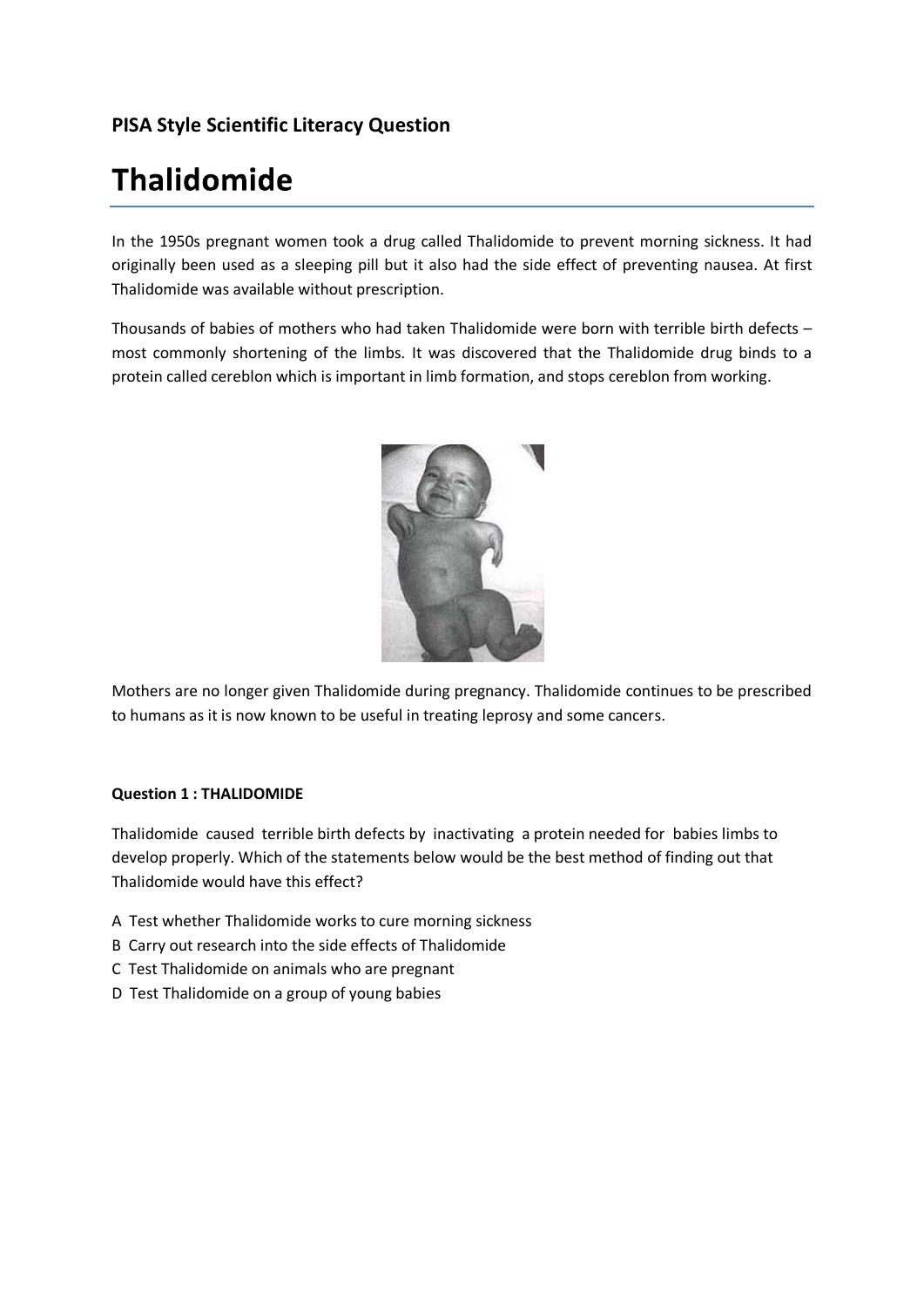## **PISA Style Scientific Literacy Question**

# **Thalidomide**

In the 1950s pregnant women took a drug called Thalidomide to prevent morning sickness. It had originally been used as a sleeping pill but it also had the side effect of preventing nausea. At first Thalidomide was available without prescription.

Thousands of babies of mothers who had taken Thalidomide were born with terrible birth defects – most commonly shortening of the limbs. It was discovered that the Thalidomide drug binds to a protein called cereblon which is important in limb formation, and stops cereblon from working.



Mothers are no longer given Thalidomide during pregnancy. Thalidomide continues to be prescribed to humans as it is now known to be useful in treating leprosy and some cancers.

#### **Question 1 : THALIDOMIDE**

Thalidomide caused terrible birth defects by inactivating a protein needed for babies limbs to develop properly. Which of the statements below would be the best method of finding out that Thalidomide would have this effect?

- A Test whether Thalidomide works to cure morning sickness
- B Carry out research into the side effects of Thalidomide
- C Test Thalidomide on animals who are pregnant
- D Test Thalidomide on a group of young babies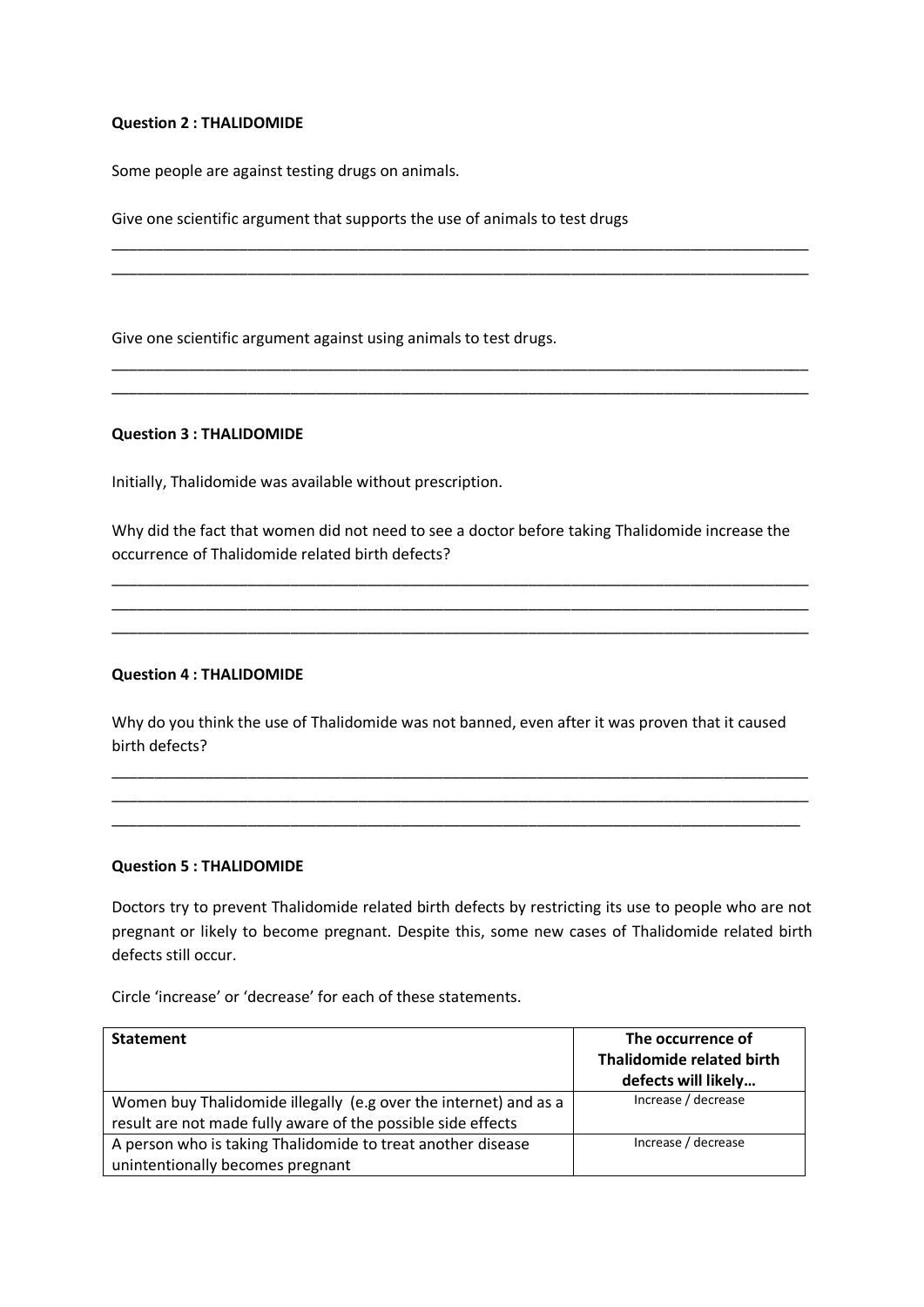#### **Question 2 : THALIDOMIDE**

Some people are against testing drugs on animals.

Give one scientific argument that supports the use of animals to test drugs

Give one scientific argument against using animals to test drugs.

#### **Question 3 : THALIDOMIDE**

Initially, Thalidomide was available without prescription.

Why did the fact that women did not need to see a doctor before taking Thalidomide increase the occurrence of Thalidomide related birth defects?

\_\_\_\_\_\_\_\_\_\_\_\_\_\_\_\_\_\_\_\_\_\_\_\_\_\_\_\_\_\_\_\_\_\_\_\_\_\_\_\_\_\_\_\_\_\_\_\_\_\_\_\_\_\_\_\_\_\_\_\_\_\_\_\_\_\_\_\_\_\_\_\_\_\_\_\_\_\_\_\_\_\_ \_\_\_\_\_\_\_\_\_\_\_\_\_\_\_\_\_\_\_\_\_\_\_\_\_\_\_\_\_\_\_\_\_\_\_\_\_\_\_\_\_\_\_\_\_\_\_\_\_\_\_\_\_\_\_\_\_\_\_\_\_\_\_\_\_\_\_\_\_\_\_\_\_\_\_\_\_\_\_\_\_\_ \_\_\_\_\_\_\_\_\_\_\_\_\_\_\_\_\_\_\_\_\_\_\_\_\_\_\_\_\_\_\_\_\_\_\_\_\_\_\_\_\_\_\_\_\_\_\_\_\_\_\_\_\_\_\_\_\_\_\_\_\_\_\_\_\_\_\_\_\_\_\_\_\_\_\_\_\_\_\_\_\_\_

\_\_\_\_\_\_\_\_\_\_\_\_\_\_\_\_\_\_\_\_\_\_\_\_\_\_\_\_\_\_\_\_\_\_\_\_\_\_\_\_\_\_\_\_\_\_\_\_\_\_\_\_\_\_\_\_\_\_\_\_\_\_\_\_\_\_\_\_\_\_\_\_\_\_\_\_\_\_\_\_\_\_ \_\_\_\_\_\_\_\_\_\_\_\_\_\_\_\_\_\_\_\_\_\_\_\_\_\_\_\_\_\_\_\_\_\_\_\_\_\_\_\_\_\_\_\_\_\_\_\_\_\_\_\_\_\_\_\_\_\_\_\_\_\_\_\_\_\_\_\_\_\_\_\_\_\_\_\_\_\_\_\_\_\_

\_\_\_\_\_\_\_\_\_\_\_\_\_\_\_\_\_\_\_\_\_\_\_\_\_\_\_\_\_\_\_\_\_\_\_\_\_\_\_\_\_\_\_\_\_\_\_\_\_\_\_\_\_\_\_\_\_\_\_\_\_\_\_\_\_\_\_\_\_\_\_\_\_\_\_\_\_\_\_\_\_\_ \_\_\_\_\_\_\_\_\_\_\_\_\_\_\_\_\_\_\_\_\_\_\_\_\_\_\_\_\_\_\_\_\_\_\_\_\_\_\_\_\_\_\_\_\_\_\_\_\_\_\_\_\_\_\_\_\_\_\_\_\_\_\_\_\_\_\_\_\_\_\_\_\_\_\_\_\_\_\_\_\_\_

#### **Question 4 : THALIDOMIDE**

Why do you think the use of Thalidomide was not banned, even after it was proven that it caused birth defects?

\_\_\_\_\_\_\_\_\_\_\_\_\_\_\_\_\_\_\_\_\_\_\_\_\_\_\_\_\_\_\_\_\_\_\_\_\_\_\_\_\_\_\_\_\_\_\_\_\_\_\_\_\_\_\_\_\_\_\_\_\_\_\_\_\_\_\_\_\_\_\_\_\_\_\_\_\_\_\_\_\_\_ \_\_\_\_\_\_\_\_\_\_\_\_\_\_\_\_\_\_\_\_\_\_\_\_\_\_\_\_\_\_\_\_\_\_\_\_\_\_\_\_\_\_\_\_\_\_\_\_\_\_\_\_\_\_\_\_\_\_\_\_\_\_\_\_\_\_\_\_\_\_\_\_\_\_\_\_\_\_\_\_\_\_ \_\_\_\_\_\_\_\_\_\_\_\_\_\_\_\_\_\_\_\_\_\_\_\_\_\_\_\_\_\_\_\_\_\_\_\_\_\_\_\_\_\_\_\_\_\_\_\_\_\_\_\_\_\_\_\_\_\_\_\_\_\_\_\_\_\_\_\_\_\_\_\_\_\_\_\_\_\_\_\_\_

#### **Question 5 : THALIDOMIDE**

Doctors try to prevent Thalidomide related birth defects by restricting its use to people who are not pregnant or likely to become pregnant. Despite this, some new cases of Thalidomide related birth defects still occur.

Circle 'increase' or 'decrease' for each of these statements.

| <b>Statement</b>                                                 | The occurrence of<br><b>Thalidomide related birth</b> |
|------------------------------------------------------------------|-------------------------------------------------------|
|                                                                  | defects will likely                                   |
| Women buy Thalidomide illegally (e.g over the internet) and as a | Increase / decrease                                   |
| result are not made fully aware of the possible side effects     |                                                       |
| A person who is taking Thalidomide to treat another disease      | Increase / decrease                                   |
| unintentionally becomes pregnant                                 |                                                       |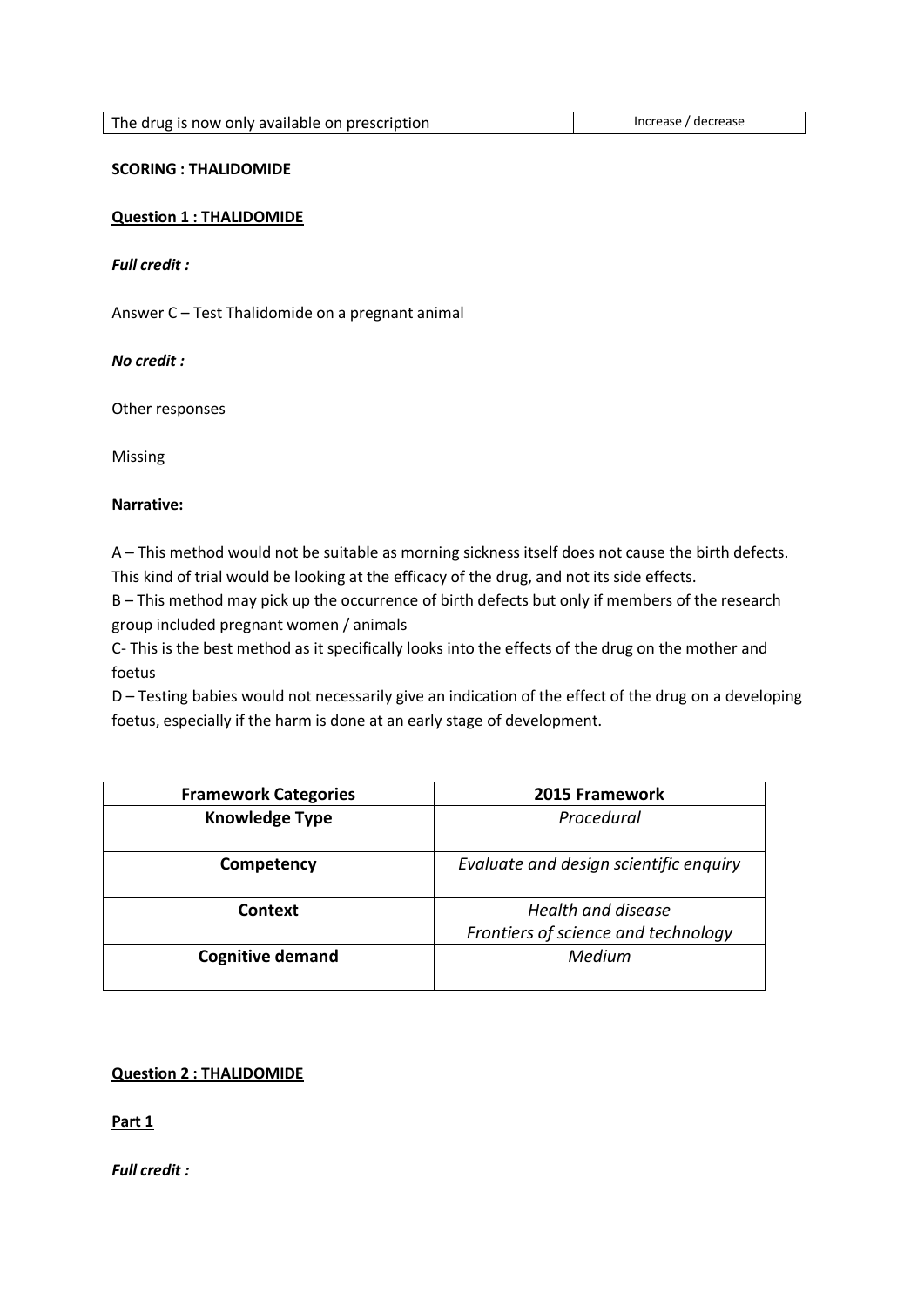| The drug is now only available on prescription | Increase / decrease |
|------------------------------------------------|---------------------|

#### **SCORING : THALIDOMIDE**

#### **Question 1 : THALIDOMIDE**

*Full credit :*

Answer C – Test Thalidomide on a pregnant animal

## *No credit :*

Other responses

Missing

## **Narrative:**

A – This method would not be suitable as morning sickness itself does not cause the birth defects. This kind of trial would be looking at the efficacy of the drug, and not its side effects.

B – This method may pick up the occurrence of birth defects but only if members of the research group included pregnant women / animals

C- This is the best method as it specifically looks into the effects of the drug on the mother and foetus

D – Testing babies would not necessarily give an indication of the effect of the drug on a developing foetus, especially if the harm is done at an early stage of development.

| <b>Framework Categories</b> | 2015 Framework                         |
|-----------------------------|----------------------------------------|
| <b>Knowledge Type</b>       | Procedural                             |
| Competency                  | Evaluate and design scientific enquiry |
| Context                     | Health and disease                     |
|                             | Frontiers of science and technology    |
| <b>Cognitive demand</b>     | Medium                                 |
|                             |                                        |

## **Question 2 : THALIDOMIDE**

**Part 1**

*Full credit :*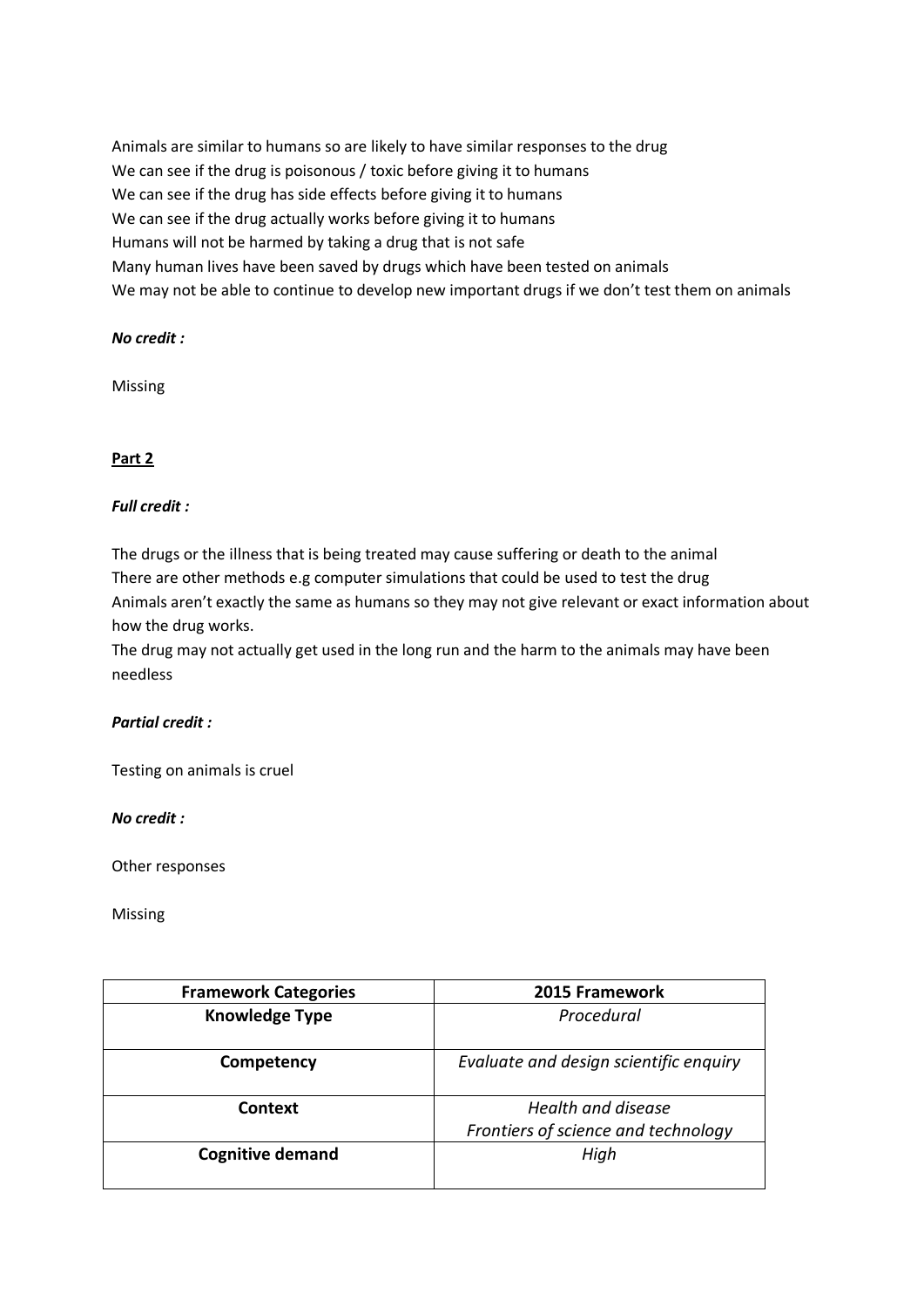Animals are similar to humans so are likely to have similar responses to the drug We can see if the drug is poisonous / toxic before giving it to humans We can see if the drug has side effects before giving it to humans We can see if the drug actually works before giving it to humans Humans will not be harmed by taking a drug that is not safe Many human lives have been saved by drugs which have been tested on animals We may not be able to continue to develop new important drugs if we don't test them on animals

## *No credit :*

Missing

## **Part 2**

## *Full credit :*

The drugs or the illness that is being treated may cause suffering or death to the animal There are other methods e.g computer simulations that could be used to test the drug Animals aren't exactly the same as humans so they may not give relevant or exact information about how the drug works.

The drug may not actually get used in the long run and the harm to the animals may have been needless

## *Partial credit :*

Testing on animals is cruel

#### *No credit :*

Other responses

Missing

| <b>Framework Categories</b> | 2015 Framework                         |
|-----------------------------|----------------------------------------|
| <b>Knowledge Type</b>       | Procedural                             |
| Competency                  | Evaluate and design scientific enquiry |
| Context                     | Health and disease                     |
|                             | Frontiers of science and technology    |
| <b>Cognitive demand</b>     | High                                   |
|                             |                                        |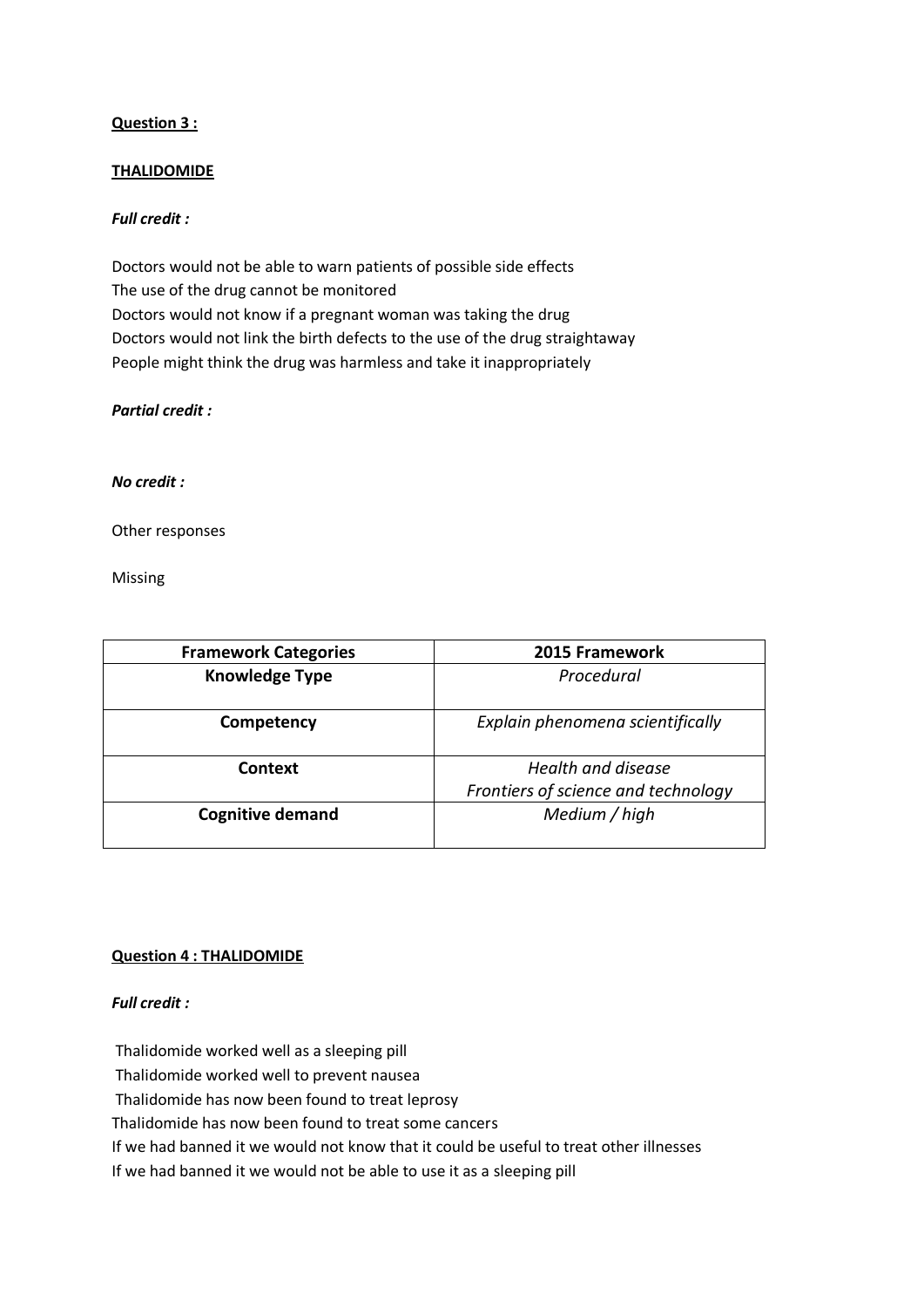## **Question 3 :**

## **THALIDOMIDE**

## *Full credit :*

Doctors would not be able to warn patients of possible side effects The use of the drug cannot be monitored Doctors would not know if a pregnant woman was taking the drug Doctors would not link the birth defects to the use of the drug straightaway People might think the drug was harmless and take it inappropriately

## *Partial credit :*

#### *No credit :*

Other responses

Missing

| <b>Framework Categories</b> | 2015 Framework                                            |
|-----------------------------|-----------------------------------------------------------|
| <b>Knowledge Type</b>       | Procedural                                                |
| Competency                  | Explain phenomena scientifically                          |
| Context                     | Health and disease<br>Frontiers of science and technology |
| <b>Cognitive demand</b>     | Medium / high                                             |

## **Question 4 : THALIDOMIDE**

#### *Full credit :*

Thalidomide worked well as a sleeping pill

Thalidomide worked well to prevent nausea

Thalidomide has now been found to treat leprosy

Thalidomide has now been found to treat some cancers

If we had banned it we would not know that it could be useful to treat other illnesses

If we had banned it we would not be able to use it as a sleeping pill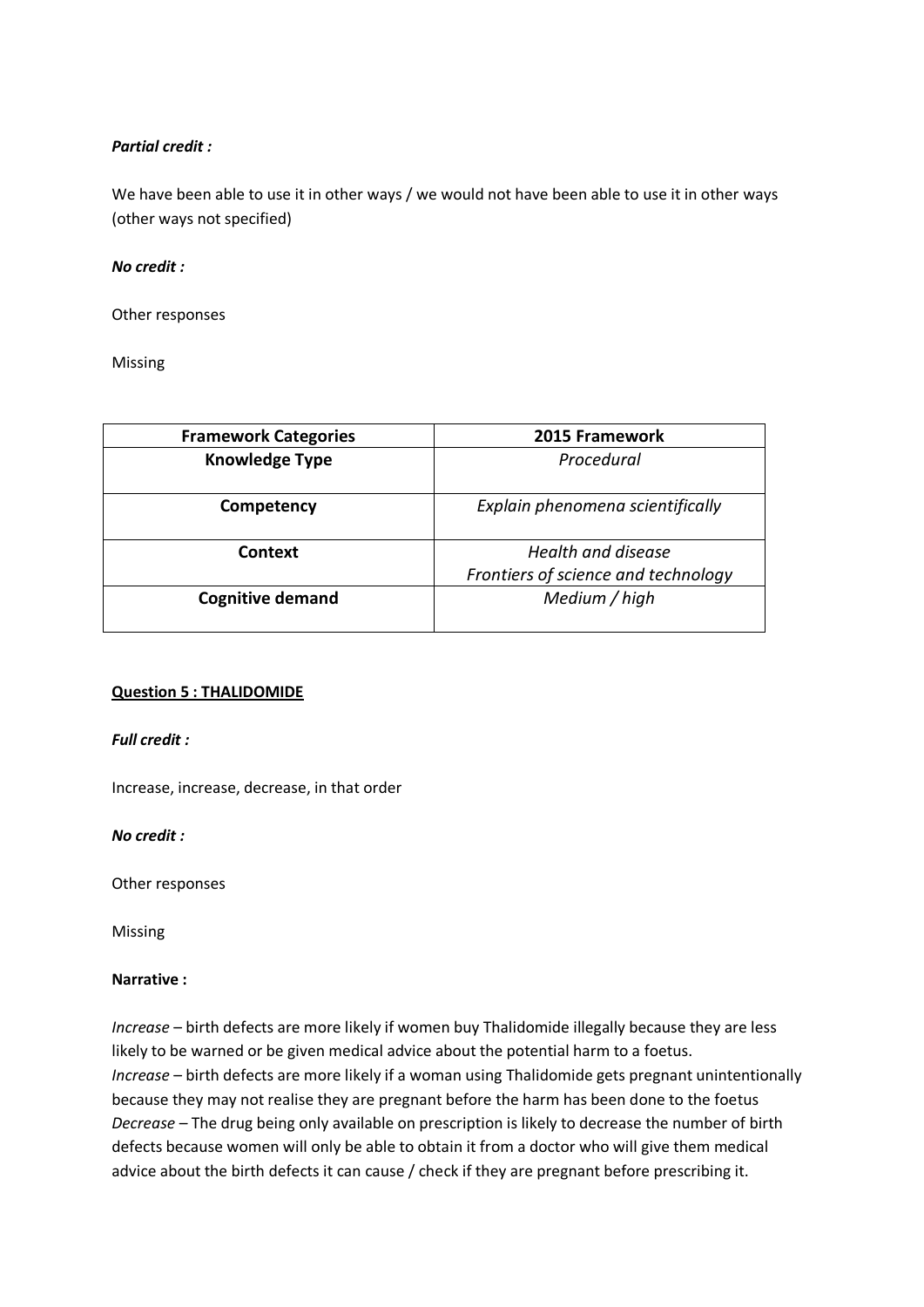## *Partial credit :*

We have been able to use it in other ways / we would not have been able to use it in other ways (other ways not specified)

#### *No credit :*

Other responses

Missing

| <b>Framework Categories</b> | 2015 Framework                                            |
|-----------------------------|-----------------------------------------------------------|
| <b>Knowledge Type</b>       | Procedural                                                |
| Competency                  | Explain phenomena scientifically                          |
| Context                     | Health and disease<br>Frontiers of science and technology |
| <b>Cognitive demand</b>     | Medium / high                                             |

#### **Question 5 : THALIDOMIDE**

*Full credit :*

Increase, increase, decrease, in that order

*No credit :*

Other responses

Missing

#### **Narrative :**

*Increase* – birth defects are more likely if women buy Thalidomide illegally because they are less likely to be warned or be given medical advice about the potential harm to a foetus. *Increase* – birth defects are more likely if a woman using Thalidomide gets pregnant unintentionally because they may not realise they are pregnant before the harm has been done to the foetus *Decrease* – The drug being only available on prescription is likely to decrease the number of birth defects because women will only be able to obtain it from a doctor who will give them medical advice about the birth defects it can cause / check if they are pregnant before prescribing it.